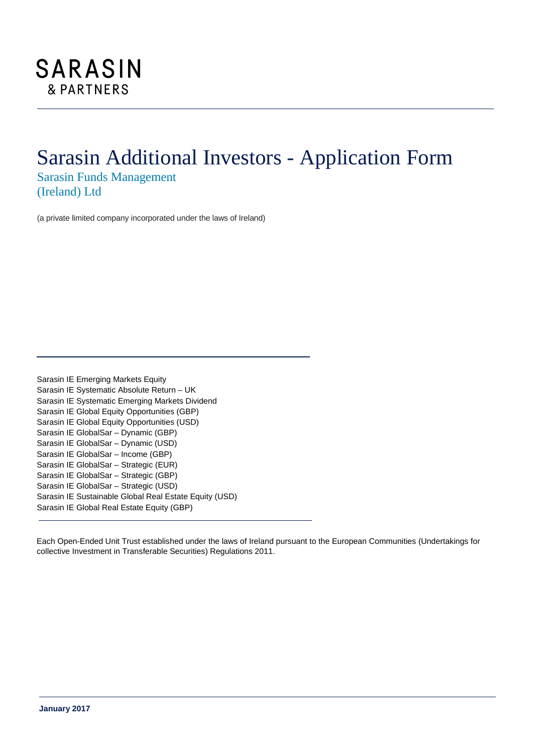## Sarasin Additional Investors - Application Form

Sarasin Funds Management (Ireland) Ltd

(a private limited company incorporated under the laws of Ireland)

Sarasin IE Emerging Markets Equity Sarasin IE Systematic Absolute Return – UK Sarasin IE Systematic Emerging Markets Dividend Sarasin IE Global Equity Opportunities (GBP) Sarasin IE Global Equity Opportunities (USD) Sarasin IE GlobalSar – Dynamic (GBP) Sarasin IE GlobalSar – Dynamic (USD) Sarasin IE GlobalSar – Income (GBP) Sarasin IE GlobalSar – Strategic (EUR) Sarasin IE GlobalSar – Strategic (GBP) Sarasin IE GlobalSar – Strategic (USD) Sarasin IE Sustainable Global Real Estate Equity (USD) Sarasin IE Global Real Estate Equity (GBP)

Each Open-Ended Unit Trust established under the laws of Ireland pursuant to the European Communities (Undertakings for collective Investment in Transferable Securities) Regulations 2011.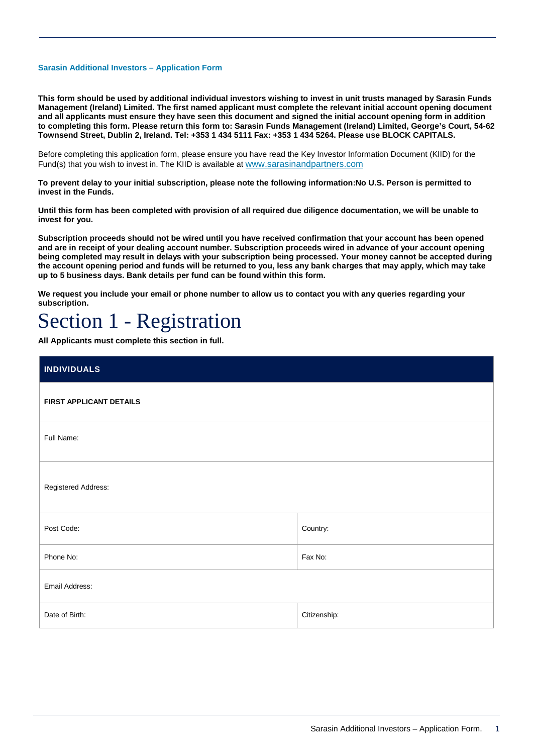#### **Sarasin Additional Investors – Application Form**

**This form should be used by additional individual investors wishing to invest in unit trusts managed by Sarasin Funds Management (Ireland) Limited. The first named applicant must complete the relevant initial account opening document and all applicants must ensure they have seen this document and signed the initial account opening form in addition to completing this form. Please return this form to: Sarasin Funds Management (Ireland) Limited, George's Court, 54-62 Townsend Street, Dublin 2, Ireland. Tel: +353 1 434 5111 Fax: +353 1 434 5264. Please use BLOCK CAPITALS.**

Before completing this application form, please ensure you have read the Key Investor Information Document (KIID) for the Fund(s) that you wish to invest in. The KIID is available at [www.sarasinandpartners.com](http://www.sarasinandpartners.com/)

**To prevent delay to your initial subscription, please note the following information:No U.S. Person is permitted to invest in the Funds.**

**Until this form has been completed with provision of all required due diligence documentation, we will be unable to invest for you.**

**Subscription proceeds should not be wired until you have received confirmation that your account has been opened and are in receipt of your dealing account number. Subscription proceeds wired in advance of your account opening being completed may result in delays with your subscription being processed. Your money cannot be accepted during the account opening period and funds will be returned to you, less any bank charges that may apply, which may take up to 5 business days. Bank details per fund can be found within this form.**

**We request you include your email or phone number to allow us to contact you with any queries regarding your subscription.**

## Section 1 - Registration

**All Applicants must complete this section in full.** 

| <b>INDIVIDUALS</b>      |              |
|-------------------------|--------------|
| FIRST APPLICANT DETAILS |              |
| Full Name:              |              |
| Registered Address:     |              |
| Post Code:              | Country:     |
| Phone No:               | Fax No:      |
| Email Address:          |              |
| Date of Birth:          | Citizenship: |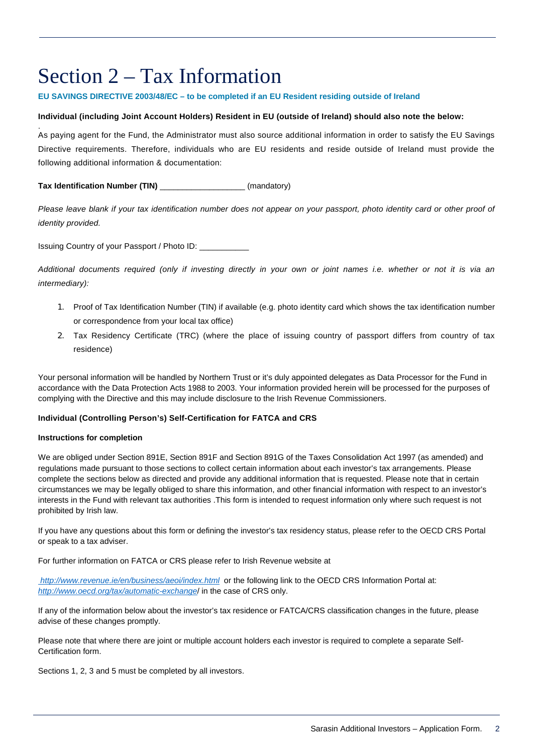## Section 2 – Tax Information

## **EU SAVINGS DIRECTIVE 2003/48/EC – to be completed if an EU Resident residing outside of Ireland**

## **Individual (including Joint Account Holders) Resident in EU (outside of Ireland) should also note the below:**

. As paying agent for the Fund, the Administrator must also source additional information in order to satisfy the EU Savings Directive requirements. Therefore, individuals who are EU residents and reside outside of Ireland must provide the following additional information & documentation:

**Tax Identification Number (TIN)** (mandatory)

*Please leave blank if your tax identification number does not appear on your passport, photo identity card or other proof of identity provided.*

Issuing Country of your Passport / Photo ID: \_\_\_\_\_\_\_\_\_\_\_

*Additional documents required (only if investing directly in your own or joint names i.e. whether or not it is via an intermediary):*

- 1. Proof of Tax Identification Number (TIN) if available (e.g. photo identity card which shows the tax identification number or correspondence from your local tax office)
- 2. Tax Residency Certificate (TRC) (where the place of issuing country of passport differs from country of tax residence)

Your personal information will be handled by Northern Trust or it's duly appointed delegates as Data Processor for the Fund in accordance with the Data Protection Acts 1988 to 2003. Your information provided herein will be processed for the purposes of complying with the Directive and this may include disclosure to the Irish Revenue Commissioners.

## **Individual (Controlling Person's) Self-Certification for FATCA and CRS**

## **Instructions for completion**

We are obliged under Section 891E, Section 891F and Section 891G of the Taxes Consolidation Act 1997 (as amended) and regulations made pursuant to those sections to collect certain information about each investor's tax arrangements. Please complete the sections below as directed and provide any additional information that is requested. Please note that in certain circumstances we may be legally obliged to share this information, and other financial information with respect to an investor's interests in the Fund with relevant tax authorities .This form is intended to request information only where such request is not prohibited by Irish law.

If you have any questions about this form or defining the investor's tax residency status, please refer to the OECD CRS Portal or speak to a tax adviser.

For further information on FATCA or CRS please refer to Irish Revenue website at

*http://www.revenue.ie/en/business/aeoi/index.html* or the following link to the OECD CRS Information Portal at: *http://www.oecd.org/tax/automatic-exchange*/ in the case of CRS only.

If any of the information below about the investor's tax residence or FATCA/CRS classification changes in the future, please advise of these changes promptly.

Please note that where there are joint or multiple account holders each investor is required to complete a separate Self-Certification form.

Sections 1, 2, 3 and 5 must be completed by all investors.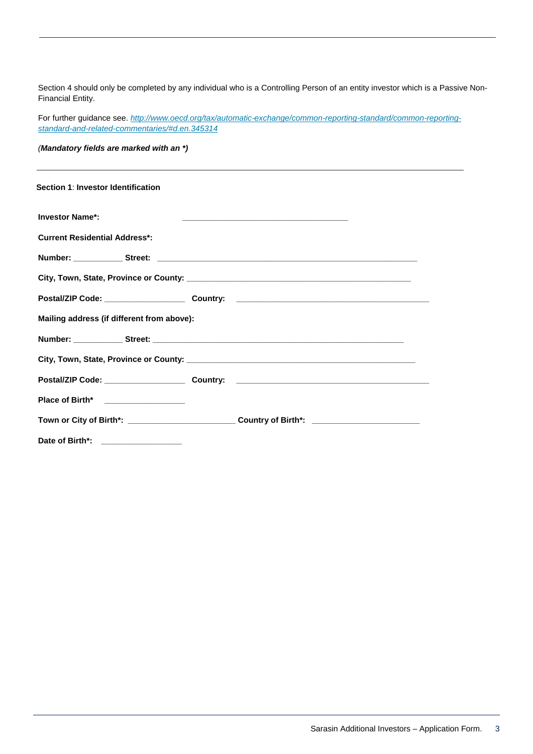Section 4 should only be completed by any individual who is a Controlling Person of an entity investor which is a Passive Non-Financial Entity.

For further guidance see. *[http://www.oecd.org/tax/automatic-exchange/common-reporting-standard/common-reporting](http://www.oecd.org/tax/automatic-exchange/common-reporting-standard/common-reporting-standard-and-related-commentaries/#d.en.345314)[standard-and-related-commentaries/#d.en.345314](http://www.oecd.org/tax/automatic-exchange/common-reporting-standard/common-reporting-standard-and-related-commentaries/#d.en.345314)*

## *(Mandatory fields are marked with an \*)*

| Section 1: Investor Identification                                                                            |                                                                                                                        |  |
|---------------------------------------------------------------------------------------------------------------|------------------------------------------------------------------------------------------------------------------------|--|
| <b>Investor Name*:</b>                                                                                        | <u> 2000 - Jan James James Jan James James James James James James James James James James James James James James</u> |  |
| <b>Current Residential Address*:</b>                                                                          |                                                                                                                        |  |
|                                                                                                               |                                                                                                                        |  |
| City, Town, State, Province or County: And All Annual City, Town, All Annual City, Town, All Annual City, All |                                                                                                                        |  |
| Postal/ZIP Code: _______________________Country: ________________________________                             |                                                                                                                        |  |
| Mailing address (if different from above):                                                                    |                                                                                                                        |  |
|                                                                                                               |                                                                                                                        |  |
|                                                                                                               |                                                                                                                        |  |
|                                                                                                               |                                                                                                                        |  |
| Place of Birth* _________________                                                                             |                                                                                                                        |  |
| Town or City of Birth*: ________________________________Country of Birth*: ________________________           |                                                                                                                        |  |
| Date of Birth*: __________________                                                                            |                                                                                                                        |  |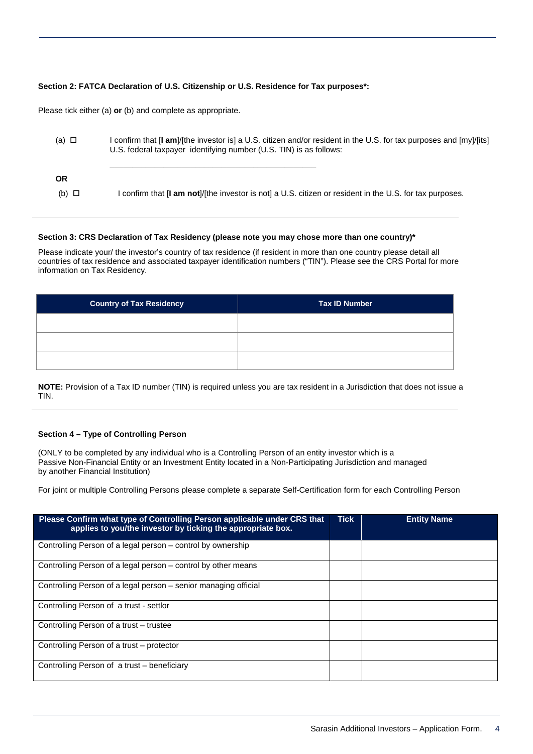## **Section 2: FATCA Declaration of U.S. Citizenship or U.S. Residence for Tax purposes\*:**

Please tick either (a) **or** (b) and complete as appropriate.

| (a) □            | I confirm that [I am]/[the investor is] a U.S. citizen and/or resident in the U.S. for tax purposes and [my]/[its]<br>U.S. federal taxpayer identifying number (U.S. TIN) is as follows: |
|------------------|------------------------------------------------------------------------------------------------------------------------------------------------------------------------------------------|
| ΟR<br>(b) $\Box$ | confirm that $\alpha$ am not //the investor is not a U.S. citizen or resident in the U.S. for tax purposes.                                                                              |

## **Section 3: CRS Declaration of Tax Residency (please note you may chose more than one country)\***

Please indicate your/ the investor's country of tax residence (if resident in more than one country please detail all countries of tax residence and associated taxpayer identification numbers ("TIN"). Please see the CRS Portal for more information on Tax Residency.

| <b>Country of Tax Residency</b> | <b>Tax ID Number</b> |
|---------------------------------|----------------------|
|                                 |                      |
|                                 |                      |
|                                 |                      |

**NOTE:** Provision of a Tax ID number (TIN) is required unless you are tax resident in a Jurisdiction that does not issue a TIN.

## **Section 4 – Type of Controlling Person**

(ONLY to be completed by any individual who is a Controlling Person of an entity investor which is a Passive Non-Financial Entity or an Investment Entity located in a Non-Participating Jurisdiction and managed by another Financial Institution)

For joint or multiple Controlling Persons please complete a separate Self-Certification form for each Controlling Person

| Please Confirm what type of Controlling Person applicable under CRS that<br>applies to you/the investor by ticking the appropriate box. | <b>Tick</b> | <b>Entity Name</b> |
|-----------------------------------------------------------------------------------------------------------------------------------------|-------------|--------------------|
| Controlling Person of a legal person – control by ownership                                                                             |             |                    |
| Controlling Person of a legal person – control by other means                                                                           |             |                    |
| Controlling Person of a legal person - senior managing official                                                                         |             |                    |
| Controlling Person of a trust - settlor                                                                                                 |             |                    |
| Controlling Person of a trust – trustee                                                                                                 |             |                    |
| Controlling Person of a trust – protector                                                                                               |             |                    |
| Controlling Person of a trust – beneficiary                                                                                             |             |                    |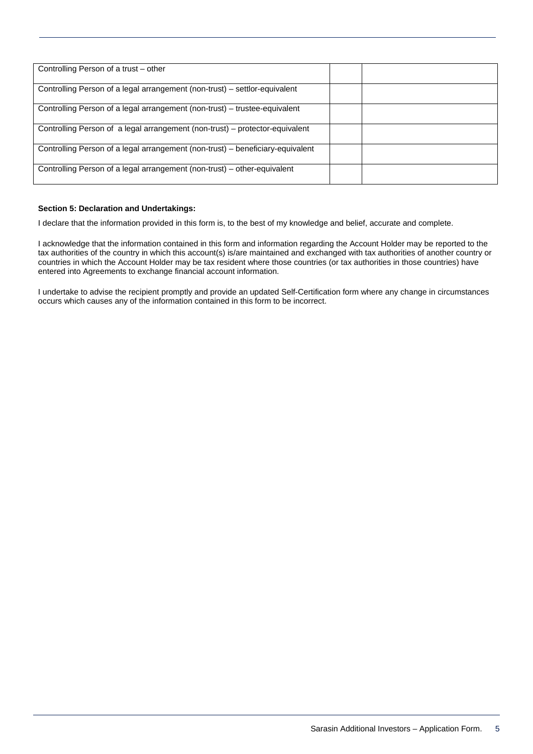| Controlling Person of a legal arrangement (non-trust) – settlor-equivalent     |
|--------------------------------------------------------------------------------|
|                                                                                |
| Controlling Person of a legal arrangement (non-trust) – trustee-equivalent     |
|                                                                                |
| Controlling Person of a legal arrangement (non-trust) - protector-equivalent   |
|                                                                                |
| Controlling Person of a legal arrangement (non-trust) – beneficiary-equivalent |
|                                                                                |
|                                                                                |
|                                                                                |
| Controlling Person of a legal arrangement (non-trust) – other-equivalent       |

## **Section 5: Declaration and Undertakings:**

I declare that the information provided in this form is, to the best of my knowledge and belief, accurate and complete.

I acknowledge that the information contained in this form and information regarding the Account Holder may be reported to the tax authorities of the country in which this account(s) is/are maintained and exchanged with tax authorities of another country or countries in which the Account Holder may be tax resident where those countries (or tax authorities in those countries) have entered into Agreements to exchange financial account information.

I undertake to advise the recipient promptly and provide an updated Self-Certification form where any change in circumstances occurs which causes any of the information contained in this form to be incorrect.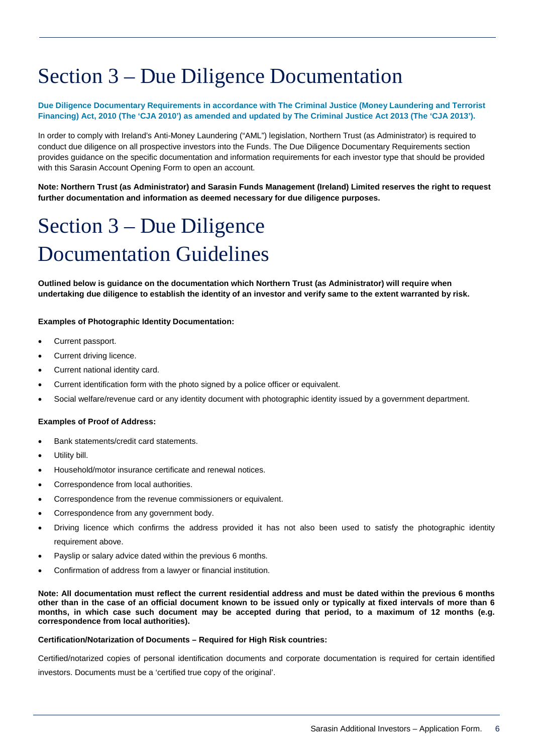## Section 3 – Due Diligence Documentation

## **Due Diligence Documentary Requirements in accordance with The Criminal Justice (Money Laundering and Terrorist Financing) Act, 2010 (The 'CJA 2010') as amended and updated by The Criminal Justice Act 2013 (The 'CJA 2013').**

In order to comply with Ireland's Anti-Money Laundering ("AML") legislation, Northern Trust (as Administrator) is required to conduct due diligence on all prospective investors into the Funds. The Due Diligence Documentary Requirements section provides guidance on the specific documentation and information requirements for each investor type that should be provided with this Sarasin Account Opening Form to open an account.

**Note: Northern Trust (as Administrator) and Sarasin Funds Management (Ireland) Limited reserves the right to request further documentation and information as deemed necessary for due diligence purposes.**

# Section 3 – Due Diligence Documentation Guidelines

**Outlined below is guidance on the documentation which Northern Trust (as Administrator) will require when undertaking due diligence to establish the identity of an investor and verify same to the extent warranted by risk.**

## **Examples of Photographic Identity Documentation:**

- Current passport.
- Current driving licence.
- Current national identity card.
- Current identification form with the photo signed by a police officer or equivalent.
- Social welfare/revenue card or any identity document with photographic identity issued by a government department.

## **Examples of Proof of Address:**

- Bank statements/credit card statements.
- Utility bill.
- Household/motor insurance certificate and renewal notices.
- Correspondence from local authorities.
- Correspondence from the revenue commissioners or equivalent.
- Correspondence from any government body.
- Driving licence which confirms the address provided it has not also been used to satisfy the photographic identity requirement above.
- Payslip or salary advice dated within the previous 6 months.
- Confirmation of address from a lawyer or financial institution.

**Note: All documentation must reflect the current residential address and must be dated within the previous 6 months other than in the case of an official document known to be issued only or typically at fixed intervals of more than 6 months, in which case such document may be accepted during that period, to a maximum of 12 months (e.g. correspondence from local authorities).** 

## **Certification/Notarization of Documents – Required for High Risk countries:**

Certified/notarized copies of personal identification documents and corporate documentation is required for certain identified investors. Documents must be a 'certified true copy of the original'.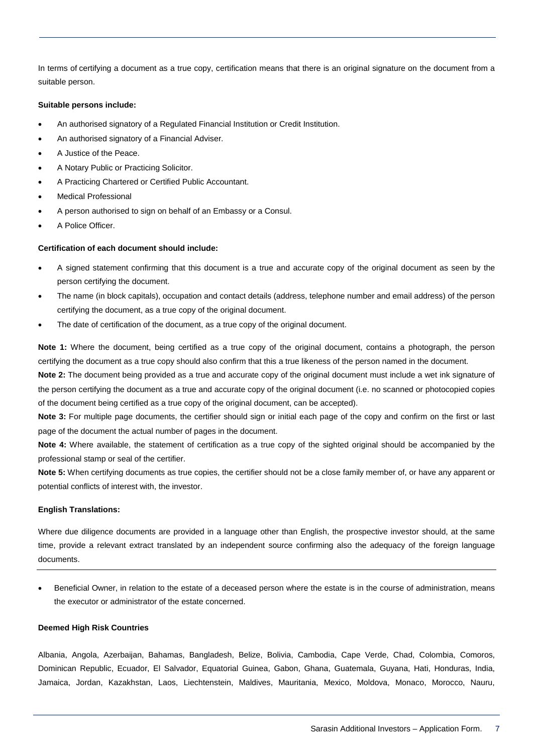In terms of certifying a document as a true copy, certification means that there is an original signature on the document from a suitable person.

### **Suitable persons include:**

- An authorised signatory of a Regulated Financial Institution or Credit Institution.
- An authorised signatory of a Financial Adviser.
- A Justice of the Peace.
- A Notary Public or Practicing Solicitor.
- A Practicing Chartered or Certified Public Accountant.
- Medical Professional
- A person authorised to sign on behalf of an Embassy or a Consul.
- A Police Officer.

#### **Certification of each document should include:**

- A signed statement confirming that this document is a true and accurate copy of the original document as seen by the person certifying the document.
- The name (in block capitals), occupation and contact details (address, telephone number and email address) of the person certifying the document, as a true copy of the original document.
- The date of certification of the document, as a true copy of the original document.

**Note 1:** Where the document, being certified as a true copy of the original document, contains a photograph, the person certifying the document as a true copy should also confirm that this a true likeness of the person named in the document.

**Note 2:** The document being provided as a true and accurate copy of the original document must include a wet ink signature of the person certifying the document as a true and accurate copy of the original document (i.e. no scanned or photocopied copies of the document being certified as a true copy of the original document, can be accepted).

**Note 3:** For multiple page documents, the certifier should sign or initial each page of the copy and confirm on the first or last page of the document the actual number of pages in the document.

**Note 4:** Where available, the statement of certification as a true copy of the sighted original should be accompanied by the professional stamp or seal of the certifier.

**Note 5:** When certifying documents as true copies, the certifier should not be a close family member of, or have any apparent or potential conflicts of interest with, the investor.

#### **English Translations:**

Where due diligence documents are provided in a language other than English, the prospective investor should, at the same time, provide a relevant extract translated by an independent source confirming also the adequacy of the foreign language documents.

• Beneficial Owner, in relation to the estate of a deceased person where the estate is in the course of administration, means the executor or administrator of the estate concerned.

### **Deemed High Risk Countries**

Albania, Angola, Azerbaijan, Bahamas, Bangladesh, Belize, Bolivia, Cambodia, Cape Verde, Chad, Colombia, Comoros, Dominican Republic, Ecuador, El Salvador, Equatorial Guinea, Gabon, Ghana, Guatemala, Guyana, Hati, Honduras, India, Jamaica, Jordan, Kazakhstan, Laos, Liechtenstein, Maldives, Mauritania, Mexico, Moldova, Monaco, Morocco, Nauru,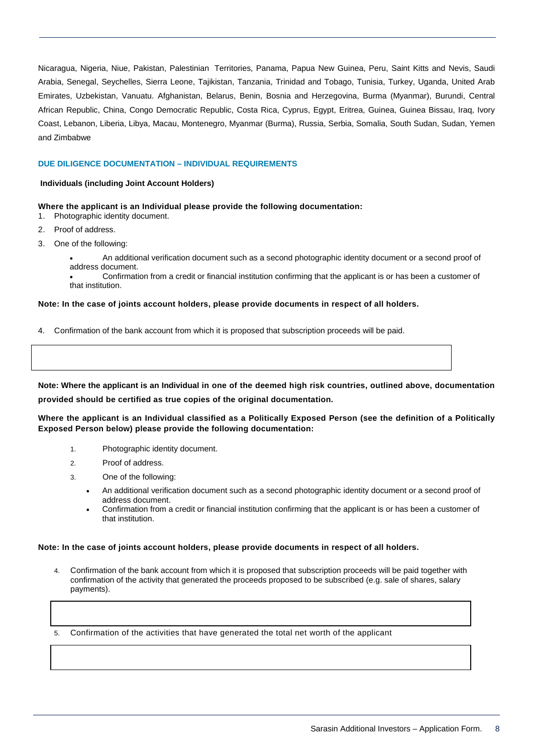Nicaragua, Nigeria, Niue, Pakistan, Palestinian Territories, Panama, Papua New Guinea, Peru, Saint Kitts and Nevis, Saudi Arabia, Senegal, Seychelles, Sierra Leone, Tajikistan, Tanzania, Trinidad and Tobago, Tunisia, Turkey, Uganda, United Arab Emirates, Uzbekistan, Vanuatu. Afghanistan, Belarus, Benin, Bosnia and Herzegovina, Burma (Myanmar), Burundi, Central African Republic, China, Congo Democratic Republic, Costa Rica, Cyprus, Egypt, Eritrea, Guinea, Guinea Bissau, Iraq, Ivory Coast, Lebanon, Liberia, Libya, Macau, Montenegro, Myanmar (Burma), Russia, Serbia, Somalia, South Sudan, Sudan, Yemen and Zimbabwe

## **DUE DILIGENCE DOCUMENTATION – INDIVIDUAL REQUIREMENTS**

#### **Individuals (including Joint Account Holders)**

## **Where the applicant is an Individual please provide the following documentation:**

1. Photographic identity document.

- 2. Proof of address.
- 3. One of the following:
	- An additional verification document such as a second photographic identity document or a second proof of address document.
	- Confirmation from a credit or financial institution confirming that the applicant is or has been a customer of that institution.

### **Note: In the case of joints account holders, please provide documents in respect of all holders.**

4. Confirmation of the bank account from which it is proposed that subscription proceeds will be paid.

**Note: Where the applicant is an Individual in one of the deemed high risk countries, outlined above, documentation provided should be certified as true copies of the original documentation.**

## **Where the applicant is an Individual classified as a Politically Exposed Person (see the definition of a Politically Exposed Person below) please provide the following documentation:**

- 1. Photographic identity document.
- 2. Proof of address.
- 3. One of the following:
	- An additional verification document such as a second photographic identity document or a second proof of address document.
	- Confirmation from a credit or financial institution confirming that the applicant is or has been a customer of that institution.

#### **Note: In the case of joints account holders, please provide documents in respect of all holders.**

4. Confirmation of the bank account from which it is proposed that subscription proceeds will be paid together with confirmation of the activity that generated the proceeds proposed to be subscribed (e.g. sale of shares, salary payments).

#### 5. Confirmation of the activities that have generated the total net worth of the applicant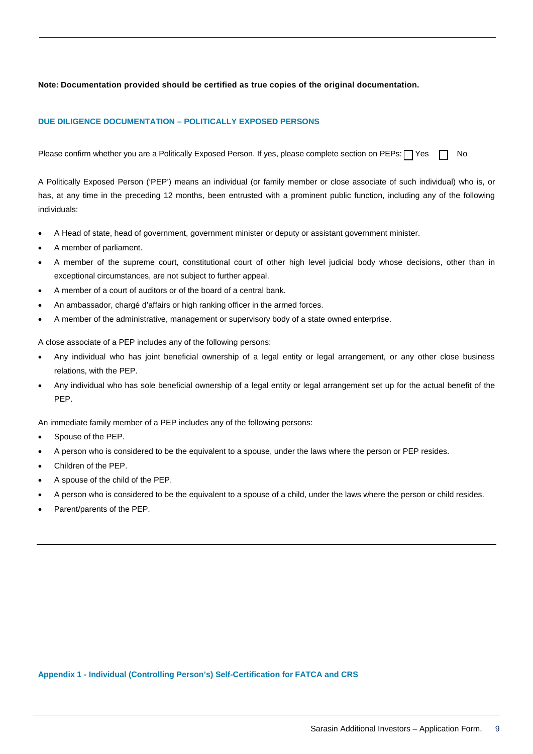## **Note: Documentation provided should be certified as true copies of the original documentation.**

## **DUE DILIGENCE DOCUMENTATION – POLITICALLY EXPOSED PERSONS**

Please confirm whether you are a Politically Exposed Person. If yes, please complete section on PEPs:  $\Box$  Yes  $\Box$  No

A Politically Exposed Person ('PEP') means an individual (or family member or close associate of such individual) who is, or has, at any time in the preceding 12 months, been entrusted with a prominent public function, including any of the following individuals:

- A Head of state, head of government, government minister or deputy or assistant government minister.
- A member of parliament.
- A member of the supreme court, constitutional court of other high level judicial body whose decisions, other than in exceptional circumstances, are not subject to further appeal.
- A member of a court of auditors or of the board of a central bank.
- An ambassador, chargé d'affairs or high ranking officer in the armed forces.
- A member of the administrative, management or supervisory body of a state owned enterprise.

A close associate of a PEP includes any of the following persons:

- Any individual who has joint beneficial ownership of a legal entity or legal arrangement, or any other close business relations, with the PEP.
- Any individual who has sole beneficial ownership of a legal entity or legal arrangement set up for the actual benefit of the PEP.

An immediate family member of a PEP includes any of the following persons:

- Spouse of the PEP.
- A person who is considered to be the equivalent to a spouse, under the laws where the person or PEP resides.
- Children of the PEP.
- A spouse of the child of the PEP.
- A person who is considered to be the equivalent to a spouse of a child, under the laws where the person or child resides.
- Parent/parents of the PEP.

**Appendix 1 - Individual (Controlling Person's) Self-Certification for FATCA and CRS**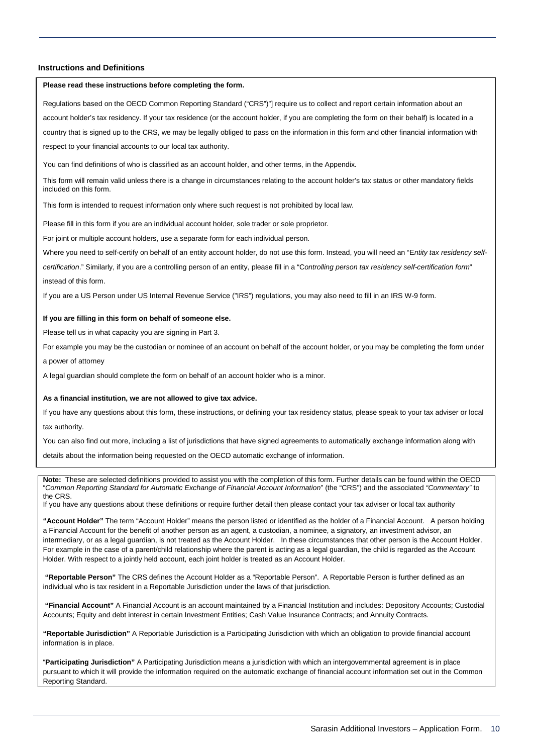#### **Instructions and Definitions**

#### **Please read these instructions before completing the form.**

Regulations based on the OECD Common Reporting Standard ("CRS")"] require us to collect and report certain information about an

account holder's tax residency. If your tax residence (or the account holder, if you are completing the form on their behalf) is located in a country that is signed up to the CRS, we may be legally obliged to pass on the information in this form and other financial information with respect to your financial accounts to our local tax authority.

You can find definitions of who is classified as an account holder, and other terms, in the Appendix.

This form will remain valid unless there is a change in circumstances relating to the account holder's tax status or other mandatory fields included on this form.

This form is intended to request information only where such request is not prohibited by local law.

Please fill in this form if you are an individual account holder, sole trader or sole proprietor.

For joint or multiple account holders, use a separate form for each individual person.

Where you need to self-certify on behalf of an entity account holder, do not use this form. Instead, you will need an "E*ntity tax residency self-*

*certification*." Similarly, if you are a controlling person of an entity, please fill in a "C*ontrolling person tax residency self-certification form*" instead of this form.

If you are a US Person under US Internal Revenue Service ("IRS") regulations, you may also need to fill in an IRS W-9 form.

#### **If you are filling in this form on behalf of someone else.**

Please tell us in what capacity you are signing in Part 3.

For example you may be the custodian or nominee of an account on behalf of the account holder, or you may be completing the form under

a power of attorney

A legal guardian should complete the form on behalf of an account holder who is a minor.

#### **As a financial institution, we are not allowed to give tax advice.**

If you have any questions about this form, these instructions, or defining your tax residency status, please speak to your tax adviser or local tax authority.

You can also find out more, including a list of jurisdictions that have signed agreements to automatically exchange information along with details about the information being requested on the OECD automatic exchange of information.

 "*Common Reporting Standard for Automatic Exchange of Financial Account Information*" (the "CRS") and the associated *"Commentary"* to **Note:** These are selected definitions provided to assist you with the completion of this form. Further details can be found within the OECD the CRS.

If you have any questions about these definitions or require further detail then please contact your tax adviser or local tax authority

 a Financial Account for the benefit of another person as an agent, a custodian, a nominee, a signatory, an investment advisor, an **"Account Holder"** The term "Account Holder" means the person listed or identified as the holder of a Financial Account. A person holding intermediary, or as a legal guardian, is not treated as the Account Holder. In these circumstances that other person is the Account Holder. For example in the case of a parent/child relationship where the parent is acting as a legal guardian, the child is regarded as the Account Holder. With respect to a jointly held account, each joint holder is treated as an Account Holder.

 individual who is tax resident in a Reportable Jurisdiction under the laws of that jurisdiction. **"Reportable Person"** The CRS defines the Account [Holder as a "Reportable Person". A Report](http://www.oecd.org/tax/transparency/automaticexchangeofinformation.htm)able Person is further defined as an

**"Financial Account"** A Financial Account is an account maintained by a Financial Institution and includes: Depository Accounts; Custodial Accounts; Equity and debt interest in certain Investment Entities; Cash Value Insurance Contracts; and Annuity Contracts.

**"Reportable Jurisdiction"** A Reportable Jurisdiction is a Participating Jurisdiction with which an obligation to provide financial account information is in place.

"**Participating Jurisdiction"** A Participating Jurisdiction means a jurisdiction with which an intergovernmental agreement is in place pursuant to which it will provide the information required on the automatic exchange of financial account information set out in the Common Reporting Standard.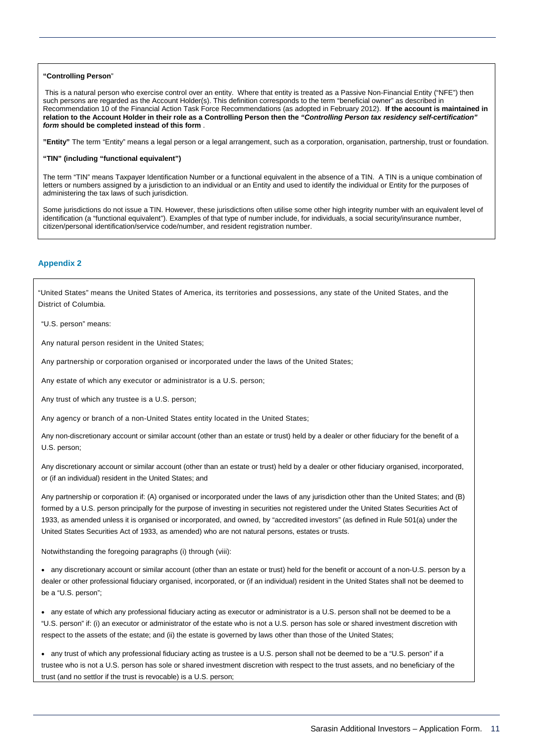#### **"Controlling Person**"

This is a natural person who exercise control over an entity. Where that entity is treated as a Passive Non-Financial Entity ("NFE") then such persons are regarded as the Account Holder(s). This definition corresponds to the term "beneficial owner" as described in Recommendation 10 of the Financial Action Task Force Recommendations (as adopted in February 2012). **If the account is maintained in relation to the Account Holder in their role as a Controlling Person then the** *"Controlling Person tax residency self-certification" form* **should be completed instead of this form** .

**"Entity"** The term "Entity" means a legal person or a legal arrangement, such as a corporation, organisation, partnership, trust or foundation.

#### **"TIN" (including "functional equivalent")**

The term "TIN" means Taxpayer Identification Number or a functional equivalent in the absence of a TIN. A TIN is a unique combination of letters or numbers assigned by a jurisdiction to an individual or an Entity and used to identify the individual or Entity for the purposes of administering the tax laws of such jurisdiction.

Some jurisdictions do not issue a TIN. However, these jurisdictions often utilise some other high integrity number with an equivalent level of identification (a "functional equivalent"). Examples of that type of number include, for individuals, a social security/insurance number, citizen/personal identification/service code/number, and resident registration number.

#### **Appendix 2**

"United States" means the United States of America, its territories and possessions, any state of the United States, and the District of Columbia.

"U.S. person" means:

Any natural person resident in the United States;

Any partnership or corporation organised or incorporated under the laws of the United States;

Any estate of which any executor or administrator is a U.S. person;

Any trust of which any trustee is a U.S. person;

Any agency or branch of a non-United States entity located in the United States;

Any non-discretionary account or similar account (other than an estate or trust) held by a dealer or other fiduciary for the benefit of a U.S. person;

Any discretionary account or similar account (other than an estate or trust) held by a dealer or other fiduciary organised, incorporated, or (if an individual) resident in the United States; and

Any partnership or corporation if: (A) organised or incorporated under the laws of any jurisdiction other than the United States; and (B) formed by a U.S. person principally for the purpose of investing in securities not registered under the United States Securities Act of 1933, as amended unless it is organised or incorporated, and owned, by "accredited investors" (as defined in Rule 501(a) under the United States Securities Act of 1933, as amended) who are not natural persons, estates or trusts.

Notwithstanding the foregoing paragraphs (i) through (viii):

• any discretionary account or similar account (other than an estate or trust) held for the benefit or account of a non-U.S. person by a dealer or other professional fiduciary organised, incorporated, or (if an individual) resident in the United States shall not be deemed to be a "U.S. person";

• any estate of which any professional fiduciary acting as executor or administrator is a U.S. person shall not be deemed to be a "U.S. person" if: (i) an executor or administrator of the estate who is not a U.S. person has sole or shared investment discretion with respect to the assets of the estate; and (ii) the estate is governed by laws other than those of the United States;

• any trust of which any professional fiduciary acting as trustee is a U.S. person shall not be deemed to be a "U.S. person" if a trustee who is not a U.S. person has sole or shared investment discretion with respect to the trust assets, and no beneficiary of the trust (and no settlor if the trust is revocable) is a U.S. person;